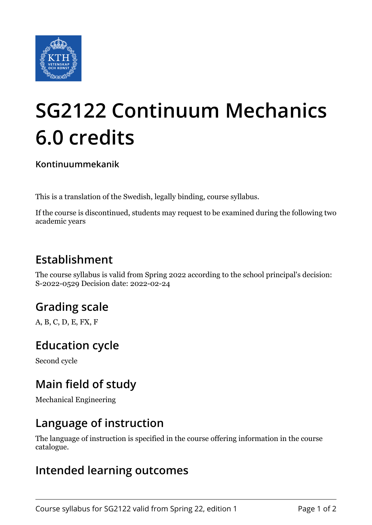

# **SG2122 Continuum Mechanics 6.0 credits**

**Kontinuummekanik**

This is a translation of the Swedish, legally binding, course syllabus.

If the course is discontinued, students may request to be examined during the following two academic years

## **Establishment**

The course syllabus is valid from Spring 2022 according to the school principal's decision: S-2022-0529 Decision date: 2022-02-24

## **Grading scale**

A, B, C, D, E, FX, F

### **Education cycle**

Second cycle

## **Main field of study**

Mechanical Engineering

#### **Language of instruction**

The language of instruction is specified in the course offering information in the course catalogue.

### **Intended learning outcomes**